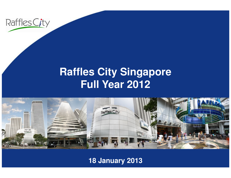

#### **Raffles City SingaporeFull Year 2012**



#### **18 January 2013**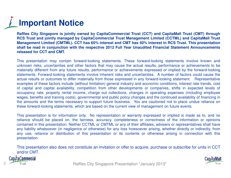## **Important Notice**

Raffles City Singapore is jointly owned by CapitaCommercial Trust (CCT) and CapitaMall Trust (CMT) through RCS Trust and jointly managed by CapitaCommercial Trust Management Limited (CCTML) and CapitaMall Trust Management Limited (CMTML). CCT has 60% interest and CMT has 40% interest in RCS Trust. This presentation shall be read in conjunction with the respective 2012 Full Year Unaudited Financial Statement Announcements **released for CCT and CMT.**

This presentation may contain forward-looking statements. These forward-looking statements involve known and unknown risks, uncertainties and other factors that may cause the actual results, performance or achievements to be materially different from any future results, performance or achievements expressed or implied by the forward-looking statements. Forward-looking statements involve inherent risks and uncertainties. A number of factors could cause the actual results or outcomes to differ materially from those expressed in any forward-looking statement. Representative examples of these factors include (without limitation) general industry and economic conditions, interest rate trends, cost of capital and capital availability, competition from other developments or companies, shifts in expected levels of<br>convincingly rate proporty raptal income, oberge out collections, oberges in eperating expenses (including occupancy rate, property rental income, charge out collections, changes in operating expenses (including employee wages, benefits and training costs), governmental and public policy changes and the continued availability of financing in the amounts and the terms necessary to support future business. You are cautioned not to place undue reliance onthese forward-looking statements, which are based on the current view of management on future events.

This presentation is for information only. No representation or warranty expressed or implied is made as to, and no reliance should be placed on, the fairness, accuracy, completeness or correctness of the information or opinions contained in this presentation. Neither CCTML or CMTML or any of their affiliates, advisers or representatives shall have any liability whatsoever (in negligence or otherwise) for any loss howsoever arising, whether directly or indirectly, from any use, reliance or distribution of this presentation or its contents or otherwise arising in connection with thispresentation.

This presentation also does not constitute an invitation or offer to acquire, purchase or subscribe for units in CCTand/or CMT.

Cap/taCommercial



Raffles City Singapore Presentation \*January 2013\* Raffles City Singapore Presentation \*January 2012\* <sup>2</sup>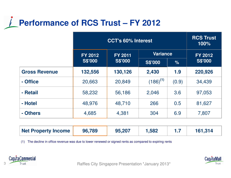#### **Performance of RCS Trust – FY 2012**

|                      | <b>CCT's 60% Interest</b> |                |                 |       | <b>RCS Trust</b><br>100%         |
|----------------------|---------------------------|----------------|-----------------|-------|----------------------------------|
|                      | <b>FY 2012</b>            | <b>FY 2011</b> | <b>Variance</b> |       | <b>FY 2012</b><br><b>S\$'000</b> |
|                      | <b>S\$'000</b>            | <b>S\$'000</b> | <b>S\$'000</b>  | $\%$  |                                  |
| <b>Gross Revenue</b> | 132,556                   | 130,126        | 2,430           | 1.9   | 220,926                          |
| - Office             | 20,663                    | 20,849         | $(186)^{(1)}$   | (0.9) | 34,439                           |
| - Retail             | 58,232                    | 56,186         | 2,046           | 3.6   | 97,053                           |
| - Hotel              | 48,976                    | 48,710         | 266             | 0.5   | 81,627                           |
| - Others             | 4,685                     | 4,381          | 304             | 6.9   | 7,807                            |

| Net Property Income | 96,789 | 95,207 | 1,582 |  | 161,314 |
|---------------------|--------|--------|-------|--|---------|
|---------------------|--------|--------|-------|--|---------|

(1) The decline in office revenue was due to lower renewed or signed rents as compared to expiring rents





Raffles City Singapore Presentation \*January 2012\* Raffles City Singapore Presentation \*January 2013\*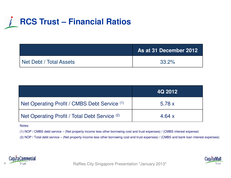### **RCS Trust – Financial Ratios**

|                         | As at 31 December 2012 |
|-------------------------|------------------------|
| Net Debt / Total Assets | 33.2%                  |

|                                               | 4Q 2012  |
|-----------------------------------------------|----------|
| Net Operating Profit / CMBS Debt Service (1)  | 5.78x    |
| Net Operating Profit / Total Debt Service (2) | 4.64 $x$ |

Notes:

(1) NOP / CMBS debt service – (Net property income less other borrowing cost and trust expenses) / (CMBS interest expense)

(2) NOP / Total debt service – (Net property income less other borrowing cost and trust expenses) / (CMBS and bank loan interest expenses)



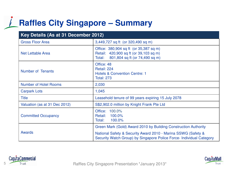### **Raffles City Singapore – Summary**

| Key Details (As at 31 December 2012) |                                                                                                                                       |  |  |
|--------------------------------------|---------------------------------------------------------------------------------------------------------------------------------------|--|--|
| <b>Gross Floor Area</b>              | 3,449,727 sq ft (or 320,490 sq m)                                                                                                     |  |  |
| <b>Net Lettable Area</b>             | Office: 380,904 sq ft (or 35,387 sq m)<br>Retail: 420,900 sq ft (or 39,103 sq m)<br>801,804 sq ft (or 74,490 sq m)<br>Total:          |  |  |
| <b>Number of Tenants</b>             | Office: 48<br>Retail: 224<br><b>Hotels &amp; Convention Centre: 1</b><br><b>Total: 273</b>                                            |  |  |
| <b>Number of Hotel Rooms</b>         | 2,030                                                                                                                                 |  |  |
| <b>Carpark Lots</b>                  | 1,045                                                                                                                                 |  |  |
| <b>Title</b>                         | Leasehold tenure of 99 years expiring 15 July 2078                                                                                    |  |  |
| Valuation (as at 31 Dec 2012)        | S\$2,902.0 million by Knight Frank Pte Ltd                                                                                            |  |  |
| <b>Committed Occupancy</b>           | Office: 100.0%<br>100.0%<br>Retail:<br>100.0%<br>Total:                                                                               |  |  |
|                                      | Green Mark (Gold) Award 2010 by Building Construction Authority                                                                       |  |  |
| <b>Awards</b>                        | National Safety & Security Award 2010 - Marina SSWG (Safety &<br>Security Watch Group) by Singapore Police Force- Individual Category |  |  |

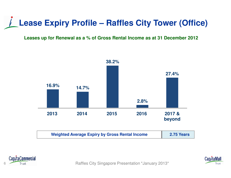### **Lease Expiry Profile – Raffles City Tower (Office)**

#### **Leases up for Renewal as a % of Gross Rental Income as at 31 December 2012**







Firust **Raffles City Singapore Presentation \*January 2013 Raffles City Singapore Presentation \*January 2013**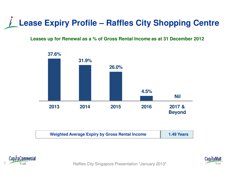#### **Lease Expiry Profile – Raffles City Shopping Centre**

#### **Leases up for Renewal as a % of Gross Rental Income as at 31 December 2012**



| <b>Weighted Average Expiry by Gross Rental Income</b> | <b>1.49 Years</b> |
|-------------------------------------------------------|-------------------|
|-------------------------------------------------------|-------------------|



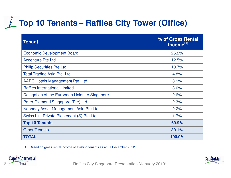## **Top 10 Tenants – Raffles City Tower (Office)**

| <b>Tenant</b>                                 | % of Gross Rental<br>$\overline{\mathsf{Income}}^{(1)}$ |
|-----------------------------------------------|---------------------------------------------------------|
| <b>Economic Development Board</b>             | 26.2%                                                   |
| <b>Accenture Pte Ltd</b>                      | 12.5%                                                   |
| <b>Philip Securities Pte Ltd</b>              | 10.7%                                                   |
| <b>Total Trading Asia Pte. Ltd.</b>           | 4.8%                                                    |
| AAPC Hotels Management Pte. Ltd.              | 3.9%                                                    |
| <b>Raffles International Limited</b>          | 3.0%                                                    |
| Delegation of the European Union to Singapore | 2.6%                                                    |
| Petro-Diamond Singapore (Pte) Ltd             | 2.3%                                                    |
| Noonday Asset Management Asia Pte Ltd         | 2.2%                                                    |
| Swiss Life Private Placement (S) Pte Ltd      | 1.7%                                                    |
| <b>Top 10 Tenants</b>                         | 69.9%                                                   |
| <b>Other Tenants</b>                          | 30.1%                                                   |
| <b>TOTAL</b>                                  | 100.0%                                                  |

(1) Based on gross rental income of existing tenants as at 31 December 2012



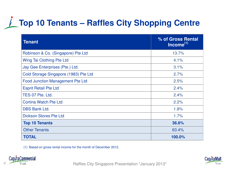## **Top 10 Tenants – Raffles City Shopping Centre**

| <b>Tenant</b>                           | % of Gross Rental<br>$Income(1)$ |
|-----------------------------------------|----------------------------------|
| Robinson & Co. (Singapore) Pte Ltd      | 13.7%                            |
| Wing Tai Clothing Pte Ltd               | 4.1%                             |
| Jay Gee Enterprises (Pte.) Ltd.         | 3.1%                             |
| Cold Storage Singapore (1983) Pte Ltd   | 2.7%                             |
| <b>Food Junction Management Pte Ltd</b> | 2.5%                             |
| <b>Esprit Retail Pte Ltd</b>            | 2.4%                             |
| TES 07 Pte. Ltd.                        | 2.4%                             |
| <b>Cortina Watch Pte Ltd</b>            | 2.2%                             |
| <b>DBS Bank Ltd.</b>                    | 1.8%                             |
| <b>Dickson Stores Pte Ltd</b>           | 1.7%                             |
| <b>Top 10 Tenants</b>                   | 36.6%                            |
| <b>Other Tenants</b>                    | 63.4%                            |
| <b>TOTAL</b>                            | 100.0%                           |

(1) Based on gross rental income for the month of December 2012.



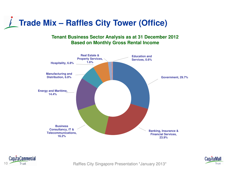

#### **Tenant Business Sector Analysis as at 31 December 2012 Based on Monthly Gross Rental Income**







Trust Trust Trust City Singapore Presentation \*January 2013\*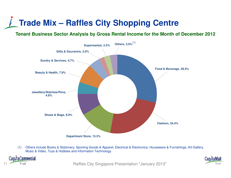#### **Trade Mix – Raffles City Shopping Centre**

**Tenant Business Sector Analysis by Gross Rental Income for the Month of December 2012**



(1) Others include Books & Stationery, Sporting Goods & Apparel, Electrical & Electronics, Houseware & Furnishings, Art Gallery, Music & Video, Toys & Hobbies and Information Technology.